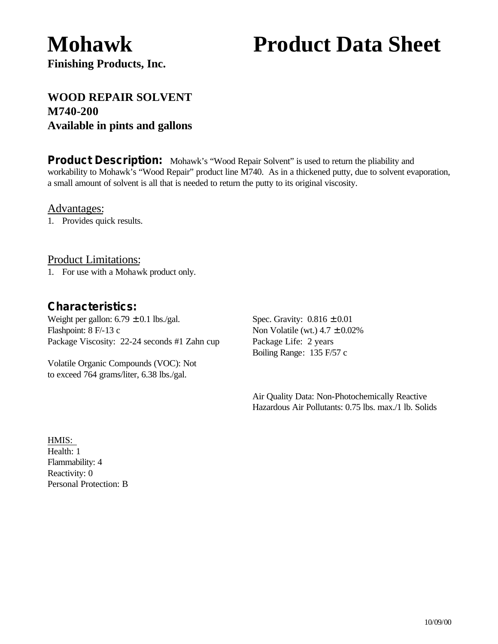# **Mohawk Product Data Sheet**

**Finishing Products, Inc.**

# **WOOD REPAIR SOLVENT M740-200 Available in pints and gallons**

**Product Description:** Mohawk's "Wood Repair Solvent" is used to return the pliability and workability to Mohawk's "Wood Repair" product line M740. As in a thickened putty, due to solvent evaporation, a small amount of solvent is all that is needed to return the putty to its original viscosity.

Advantages:

1. Provides quick results.

Product Limitations:

1. For use with a Mohawk product only.

### *Characteristics:*

Weight per gallon:  $6.79 \pm 0.1$  lbs./gal. Spec. Gravity:  $0.816 \pm 0.01$ Flashpoint:  $8$  F/-13 c Non Volatile (wt.)  $4.7 \pm 0.02\%$ Package Viscosity: 22-24 seconds #1 Zahn cup Package Life: 2 years

Volatile Organic Compounds (VOC): Not to exceed 764 grams/liter, 6.38 lbs./gal.

Boiling Range: 135 F/57 c

Air Quality Data: Non-Photochemically Reactive Hazardous Air Pollutants: 0.75 lbs. max./1 lb. Solids

HMIS: Health: 1 Flammability: 4 Reactivity: 0 Personal Protection: B